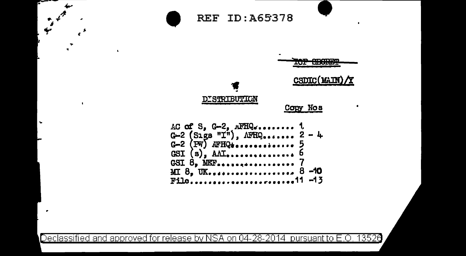$\pmb{\ast}$ 



Declassified and approved for release by NSA on 04-28-2014 pursuant to E.O. 13526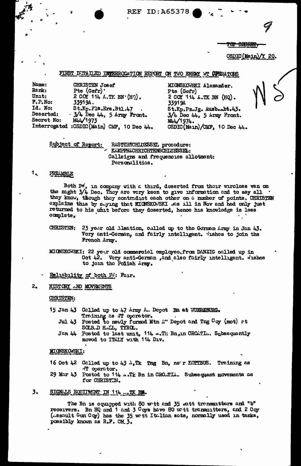**REF ID: A65378** 

**SHORES** 

**CSDIC (Main** 20. ΛY.

## FIRST DUTAILED INTERROGATION REPORT ON TWO ENEMY WT OFERATORS

Name: CHRISTEN Josef Rank: Pte  $(Gefr)$ Unit: 2 COY 114 A.TK BN (HO).  $F.P. No:$ 33919A. Id. No: St.Kp.Fla.Ers.Btl.47 Deserted:  $-3/4$  Dec  $44$ , 5 Army Front. MAJ 1973 Secret No: Interrogated : CSDIC(Main) CMF, 10 Dec 44.

MIONSKOWSKI Alexander. Pte (Gefr) 2 COY 114 A.TK BN (HQ). 33919A St.Kp.Pz.Jg. Ausb.Abt.43.  $3/4$  Deo  $44$ , 5 Army Front. **MAL/1974.** CSDIC(Main)/CMF, 10 Dec 44.

Subject of Report: RASTERSCHLUESSEL procedure: KAMPFNACHRICHTENSCHLUESSEL: Callsigns and frequencies allotment: Personalitics.

### 1. PREAMBLE

Both PM, in company with a third, deserted from their wireless van on the might  $3/4$  Dec. They are very keen to give information and to say all. they know, though they contradict each other on a number of points. CHRISTEN explains this by saying that MICNSKO./SKI was ill in Nov and had only just returned to his unit before they deserted, hence his knowledge is less complete.

**CHRISTEN:** 23 year old Alsation, called up to the Gorman Army in Jan 43. Very anti-German, and fairly intelligent. Jishes to join the French Army.

MIONSKOWSKI: 22 your old commercial employee, from DANZIG called up in Oct 42. Very anti-German , and also fairly intelligent. Wishes to join the Polish Army.

## Raliability of both Ri: Fair.

### $2.$ HISTORY AND MOVEMENTS

CHRISTEN:

- 15 Jan 43 Called up to 47 Army A. Depot Ba at WUERZBURG. Training as WT operator.
	- Jul 43 Posted to newly formed Mtn A<sup>11</sup> Depot and Tng Coy (mot) at SOLB.D H.IL., TYROL.
	- Jan 44 Postod to last unit, 114 --Th: Bn, in CROATL.. Subsequently moved to ITALY with 114 Div.

## NIONSKOWSKI:

- Training as 16 Oct 42 Called up to 43 A.Tk Tng Bn, ner KOTTBUS. T operator.
- 29 Mar 43 Posted to 114 ...Tk Bn in CRO.TL. Subsequent movements as for CHRISTIN.

### 3. SIGNALS EQUITMENT IN 114 ... TK BM.

The Bn is equipped with 80 watt and 35 watt transmitters and "b" receivers. Bn HQ and 1 and 3 Coys have 80 watt transmitters, and 2 Coy (.ssault Gun Coy) has the 35 watt Italian sots, normally used in tanks, possibly known as R.F. CM 3.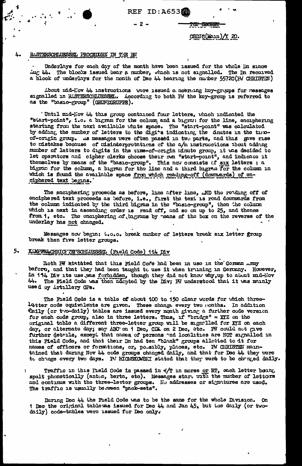REF ID:A653

## $-2-$

CSDIC(Main) $/120$ .

<del>for Georgy</del>

### RASTERSCHLUESSEL PROCEDURE IN THE BN 4.

Underlays for each day of the month have been ıssued for the whole Dn since ing 44. The blocks issued bear a number, which is not signalled. The In recoived a block of underlays for the month of Dec 44 bearing the number 55720 (PW CHRISTIN)

About mid-Nov 44 instructions were issued concerting koy-groups for reseages signalled in RASTERSCHLUESSEL. According to both FM the koy-group is referred to as the "basic-group" (GRUNDGRUPPE).

'Until mid-Nov 44 this group contained four letters, which indicated the "start-point", i.e. a bigram for the column and a bigram for the line, enciphering starting from the next available white space. The "start-point" was calculated by adding the number of letters to the digits indicating the thutes in the timeof-origin group. As messages were often passed in two parts, and this gave rise to mistakes because of misinterprotations of the a/m instrucctions about adding number of latters to digits in the time-of-origin minute group, it was decided to let operators and cipher clerks choose their own "start-point", and indicate it themselves by means of the "basic-group". This now consists of six letters : a bigram for the column, a bigram for the line and a third bigram for the column in which is found the available space from which reading-off (downwards) of enciphered text begins.

The enciphering proceeds as before, line after line, AND the reading off of enciphered text proceeds as before, i.e., first the text is read downwards from the column indicated by the third bigram in the "basic-group", then the column which is next in ascending order is read off, and so on up to 25, and thence from 1, etc. The enciphering of bigrams by means of the box on the reverse of the underlay has not changed.

Messages now begin: 0.0.0. break number of letters break six letter group break then five letter groups.

### 5. KAMPFNACHRICHTETSCHLUESSEL (Freld Codo) 114 Div

Both FW statated that this Field Code had been in use in the Gorman ... may before, and that they had been taught to use it when truning in Germany. However, in 114 Div its use was forbidden, though they did not know why, up to about mid-Hov 44. The Field Code was then adented by the Div; IN understood that it was munly used by Artillery OPs.

The Field Code is a table of about 100 to 150 clear words for which threeletter code equivalents are given. These change every two nonths. In addition thily (or two-daily) tables are issued every month giving a further code version for each code group, also in three letters. Thus, if "bridge" = XYZ on the original table a different three-letter group will be signalled for XYZ on each day, or alternate day; say ABC on 1 Dec, CDA on 2 Dec, etc. PW could not give further details, except that names of persons and localities are NOT signalled in this Field Code, and that their Dn had ten "blank" groups allotted to it for names of officers or formations, or, pousibly, places, etc. PW CHRISTEN maintained that during Nov 44 code groups changed daily, and that for Dec 44 they were to change overy two days. P/ MICKSKOWSKI stated that they were to be changed daily.

Traffic in this Hield Code is passed in  $\sqrt{T}$  in morse or RT, each letter being spelt phonetically (anton, berta, etc). Messages start with the number of letters<br>and continue with the three-letter groups. He addresses or signatures are used.<br>The traffic is usually beween "pack-sets".

During Dec 44 the Field Code was to be the same for the whole Division. On 1 Dec the original tablewas issued for Dec 44 and Jan 45, but the daily (or twodaily) code-tables were issued for Dec only.